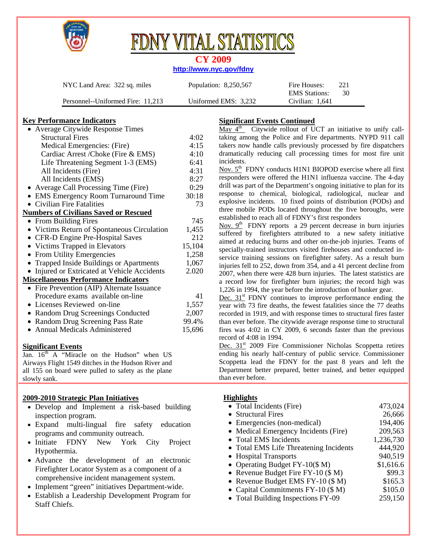

# Y VITAL STATISTI

### **CY 2009**

#### **http://www.nyc.gov/fdny**

| NYC Land Area: 322 sq. miles      | Population: 8,250,567 | 221<br>Fire Houses:         |
|-----------------------------------|-----------------------|-----------------------------|
|                                   |                       | -30<br><b>EMS</b> Stations: |
| Personnel--Uniformed Fire: 11.213 | Uniformed EMS: 3,232  | Civilian: 1,641             |

#### **Key Performance Indicators**

| • Average Citywide Response Times            |        |
|----------------------------------------------|--------|
| <b>Structural Fires</b>                      | 4:02   |
| Medical Emergencies: (Fire)                  | 4:15   |
| Cardiac Arrest /Choke (Fire & EMS)           | 4:10   |
| Life Threatening Segment 1-3 (EMS)           | 6:41   |
| All Incidents (Fire)                         | 4:31   |
| All Incidents (EMS)                          | 8:27   |
| • Average Call Processing Time (Fire)        | 0:29   |
| • EMS Emergency Room Turnaround Time         | 30:18  |
| • Civilian Fire Fatalities                   | 73     |
| <b>Numbers of Civilians Saved or Rescued</b> |        |
| • From Building Fires                        | 745    |
| • Victims Return of Spontaneous Circulation  | 1,455  |
| • CFR-D Engine Pre-Hospital Saves            | 212    |
| • Victims Trapped in Elevators               | 15,104 |
| • From Utility Emergencies                   | 1,258  |
| • Trapped Inside Buildings or Apartments     | 1,067  |
| • Injured or Extricated at Vehicle Accidents | 2.020  |
| <b>Miscellaneous Performance Indicators</b>  |        |
| • Fire Prevention (AIP) Alternate Issuance   |        |
| Procedure exams available on-line            | 41     |
| • Licenses Reviewed on-line                  | 1,557  |
| • Random Drug Screenings Conducted           | 2,007  |
| • Random Drug Screening Pass Rate            | 99.4%  |
| • Annual Medicals Administered               | 15,696 |
|                                              |        |

#### **Significant Events**

Jan.  $16<sup>th</sup>$  A "Miracle on the Hudson" when US Airways Flight 1549 ditches in the Hudson River and all 155 on board were pulled to safety as the plane slowly sank.

#### **2009-2010 Strategic Plan Initiatives**

- Develop and Implement a risk-based building inspection program.
- Expand multi-lingual fire safety education programs and community outreach.
- Initiate FDNY New York City Project Hypothermia.
- Advance the development of an electronic Firefighter Locator System as a component of a comprehensive incident management system.
- Implement "green" initiatives Department-wide.
- Establish a Leadership Development Program for Staff Chiefs.

## **Significant Events Continued**

 $\overline{\text{May 4}}^{\text{th}}$  Citywide rollout of UCT an initiative to unify calltaking among the Police and Fire departments. NYPD 911 call takers now handle calls previously processed by fire dispatchers dramatically reducing call processing times for most fire unit incidents.

Nov.  $5<sup>th</sup>$  FDNY conducts H1N1 BIOPOD exercise where all first responders were offered the H1N1 influenza vaccine. The 4-day drill was part of the Department's ongoing initiative to plan for its response to chemical, biological, radiological, nuclear and explosive incidents. 10 fixed points of distribution (PODs) and three mobile PODs located throughout the five boroughs, were established to reach all of FDNY's first responders

Nov.  $9<sup>th</sup>$  FDNY reports a 29 percent decrease in burn injuries suffered by firefighters attributed to a new safety initiative aimed at reducing burns and other on-the-job injuries. Teams of specially-trained instructors visited firehouses and conducted inservice training sessions on firefighter safety. As a result burn injuries fell to 252, down from 354, and a 41 percent decline from 2007, when there were 428 burn injuries. The latest statistics are a record low for firefighter burn injuries; the record high was 1,226 in 1994, the year before the introduction of bunker gear.

Dec.  $31<sup>st</sup>$  FDNY continues to improve performance ending the year with 73 fire deaths, the fewest fatalities since the 77 deaths recorded in 1919, and with response times to structural fires faster than ever before. The citywide average response time to structural fires was 4:02 in CY 2009, 6 seconds faster than the previous record of 4:08 in 1994.

Dec. 31<sup>st</sup> 2009 Fire Commissioner Nicholas Scoppetta retires ending his nearly half-century of public service. Commissioner Scoppetta lead the FDNY for the past 8 years and left the Department better prepared, better trained, and better equipped than ever before.

#### **Highlights**

| • Total Incidents (Fire)               | 473,024   |
|----------------------------------------|-----------|
| • Structural Fires                     | 26,666    |
| • Emergencies (non-medical)            | 194,406   |
| • Medical Emergency Incidents (Fire)   | 209,563   |
| • Total EMS Incidents                  | 1,236,730 |
| • Total EMS Life Threatening Incidents | 444,920   |
| • Hospital Transports                  | 940,519   |
| • Operating Budget $FY-10(\$ M)$       | \$1,616.6 |
| • Revenue Budget Fire FY-10 (\$ M)     | \$99.3    |
| • Revenue Budget EMS FY-10 (\$ M)      | \$165.3   |
| • Capital Commitments $FY-10$ (\$ M)   | \$105.0   |
| • Total Building Inspections FY-09     | 259,150   |